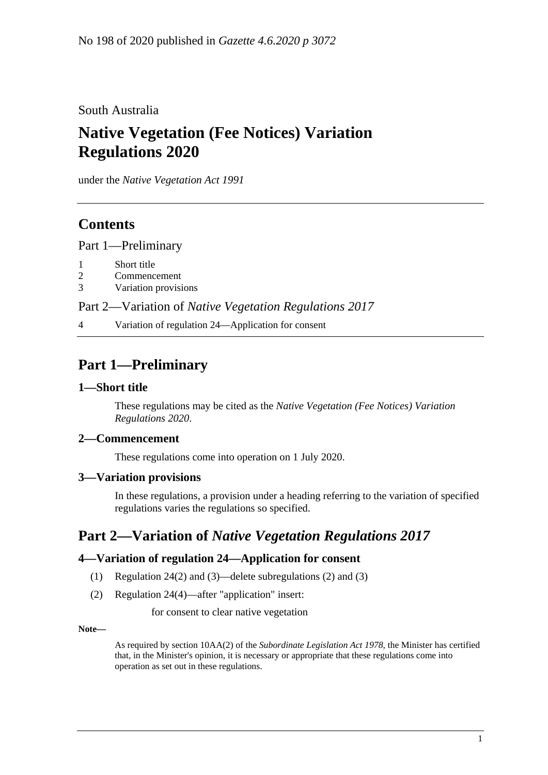South Australia

# **Native Vegetation (Fee Notices) Variation Regulations 2020**

under the *Native Vegetation Act 1991*

# **Contents**

Part [1—Preliminary](#page-0-0)

- 1 [Short title](#page-0-1)
- 2 [Commencement](#page-0-2)
- 3 [Variation provisions](#page-0-3)

Part 2—Variation of *[Native Vegetation Regulations](#page-0-4) 2017*

4 [Variation of regulation 24—Application for consent](#page-0-5)

# <span id="page-0-0"></span>**Part 1—Preliminary**

#### <span id="page-0-1"></span>**1—Short title**

These regulations may be cited as the *Native Vegetation (Fee Notices) Variation Regulations 2020*.

#### <span id="page-0-2"></span>**2—Commencement**

These regulations come into operation on 1 July 2020.

#### <span id="page-0-3"></span>**3—Variation provisions**

In these regulations, a provision under a heading referring to the variation of specified regulations varies the regulations so specified.

# <span id="page-0-4"></span>**Part 2—Variation of** *Native Vegetation Regulations 2017*

#### <span id="page-0-5"></span>**4—Variation of regulation 24—Application for consent**

- (1) Regulation 24(2) and (3)—delete subregulations (2) and (3)
- (2) Regulation 24(4)—after "application" insert:

for consent to clear native vegetation

**Note—**

As required by section 10AA(2) of the *[Subordinate Legislation Act](http://www.legislation.sa.gov.au/index.aspx?action=legref&type=act&legtitle=Subordinate%20Legislation%20Act%201978) 1978*, the Minister has certified that, in the Minister's opinion, it is necessary or appropriate that these regulations come into operation as set out in these regulations.